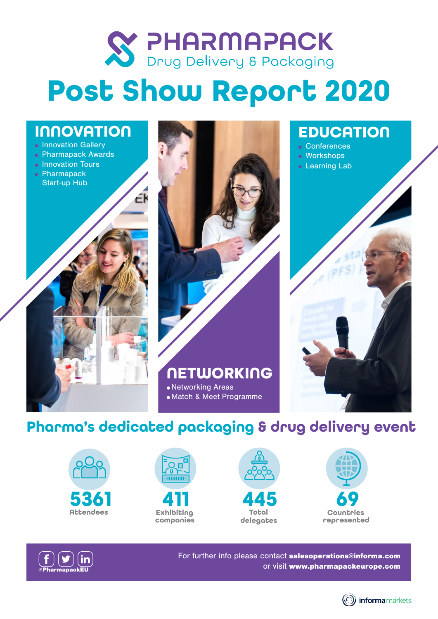

# **Post Show Report 2020**

# **INNOVATION**

- **.** Innovation Gallery
- **Pharmapack Awards**
- Innovation Tours
- **Pharmapack** Start-up Hub



# **EDUCATION**

- **Conferences**
- Workshops
- **.** Learning Lab



# **Pharma's dedicated packaging & drug delivery event**

· Match & Meet Programme













For further info please contact salesoperations@informa.com or visit www.pharmapackeurope.com

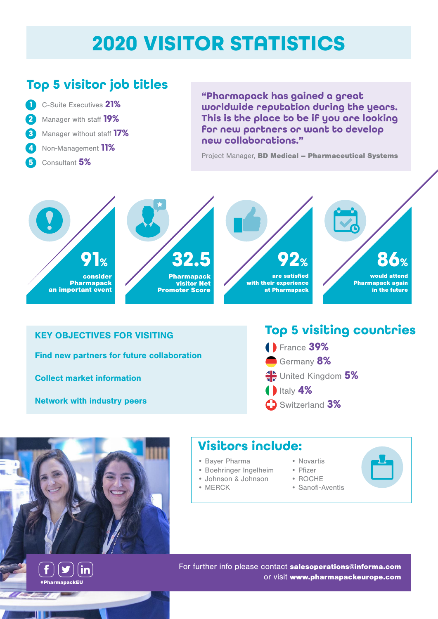# **2020 VISITOR STATISTICS**

## **Top 5 visitor job titles**

- **1** C-Suite Executives **21% 2** Manager with staff **19% 3** Manager without staff **17% 4** Non-Management **11%**
- **5** Consultant **5%**

**"Pharmapack has gained a great worldwide reputation during the years. This is the place to be if you are looking for new partners or want to develop new collaborations."** 

Project Manager, BD Medical – Pharmaceutical Systems









#### KEY OBJECTIVES FOR VISITING

Find new partners for future collaboration

Collect market information

Network with industry peers

# **Top 5 visiting countries**

**1** Italy **4%** Switzerland **3%**  France **39%**  Germany **8%**  United Kingdom **5%** 



in

#PharmapackEU

 $|\bm{y}|$ 

### **Visitors include:**

- Bayer Pharma
- Boehringer Ingelheim
- Johnson & Johnson
- MERCK
- Novartis
- Pfizer
- ROCHE
- Sanofi-Aventis

For further info please contact salesoperations@informa.com or visit www.pharmapackeurope.com